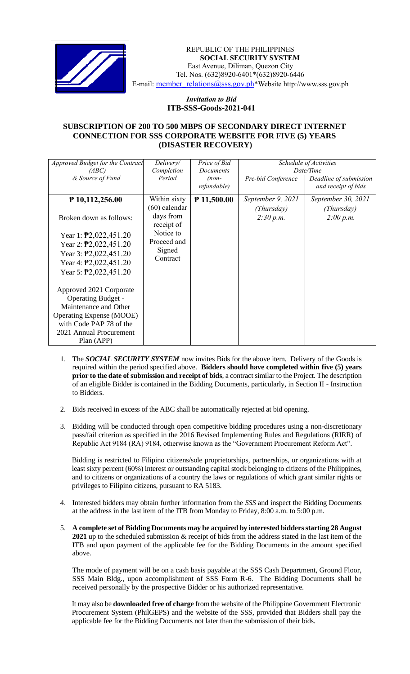

 *Invitation to Bid* REPUBLIC OF THE PHILIPPINES **SOCIAL SECURITY SYSTEM** East Avenue, Diliman, Quezon City Tel. Nos. (632)8920-6401\*(632)8920-6446 E-mail: [member\\_relations@sss.gov.ph](mailto:member_relations@sss.gov.ph)\*Website http://www.sss.gov.ph

## *Invitation to Bid*  **ITB-SSS-Goods-2021-041**

## **SUBSCRIPTION OF 200 TO 500 MBPS OF SECONDARY DIRECT INTERNET CONNECTION FOR SSS CORPORATE WEBSITE FOR FIVE (5) YEARS (DISASTER RECOVERY)**

| Approved Budget for the Contract   | Delivery/       | Price of Bid     | Schedule of Activities<br>Date/Time |                        |
|------------------------------------|-----------------|------------------|-------------------------------------|------------------------|
| (ABC)                              | Completion      | <b>Documents</b> |                                     |                        |
| & Source of Fund                   | Period          | $(non-$          | Pre-bid Conference                  | Deadline of submission |
|                                    |                 | refundable)      |                                     | and receipt of bids    |
| $P$ 10,112,256.00                  | Within sixty    | $P$ 11,500.00    | September 9, 2021                   | September 30, 2021     |
|                                    | $(60)$ calendar |                  | (Thursday)                          | (Thursday)             |
| Broken down as follows:            | days from       |                  | 2:30 p.m.                           | 2:00 p.m.              |
|                                    | receipt of      |                  |                                     |                        |
| Year 1: $\text{P}2,022,451.20$     | Notice to       |                  |                                     |                        |
| Year 2: $\text{P}2,022,451.20$     | Proceed and     |                  |                                     |                        |
| Year 3: $\overline{P}2,022,451.20$ | Signed          |                  |                                     |                        |
| Year 4: $\overline{P}2,022,451.20$ | Contract        |                  |                                     |                        |
| Year 5: $\overline{P}2,022,451.20$ |                 |                  |                                     |                        |
|                                    |                 |                  |                                     |                        |
| Approved 2021 Corporate            |                 |                  |                                     |                        |
| <b>Operating Budget -</b>          |                 |                  |                                     |                        |
| Maintenance and Other              |                 |                  |                                     |                        |
| <b>Operating Expense (MOOE)</b>    |                 |                  |                                     |                        |
| with Code PAP 78 of the            |                 |                  |                                     |                        |
| 2021 Annual Procurement            |                 |                  |                                     |                        |
| Plan (APP)                         |                 |                  |                                     |                        |

- 1. The *SOCIAL SECURITY SYSTEM* now invites Bids for the above item. Delivery of the Goods is required within the period specified above. **Bidders should have completed within five (5) years prior to the date of submission and receipt of bids**, a contract similar to the Project. The description of an eligible Bidder is contained in the Bidding Documents, particularly, in Section II - Instruction to Bidders.
- 2. Bids received in excess of the ABC shall be automatically rejected at bid opening.
- 3. Bidding will be conducted through open competitive bidding procedures using a non-discretionary pass/fail criterion as specified in the 2016 Revised Implementing Rules and Regulations (RIRR) of Republic Act 9184 (RA) 9184, otherwise known as the "Government Procurement Reform Act".

Bidding is restricted to Filipino citizens/sole proprietorships, partnerships, or organizations with at least sixty percent (60%) interest or outstanding capital stock belonging to citizens of the Philippines, and to citizens or organizations of a country the laws or regulations of which grant similar rights or privileges to Filipino citizens, pursuant to RA 5183.

- 4. Interested bidders may obtain further information from the *SSS* and inspect the Bidding Documents at the address in the last item of the ITB from Monday to Friday, 8:00 a.m. to 5:00 p.m.
- 5. **A complete set of Bidding Documents may be acquired by interested bidders starting 28 August 2021** up to the scheduled submission & receipt of bids from the address stated in the last item of the ITB and upon payment of the applicable fee for the Bidding Documents in the amount specified above.

The mode of payment will be on a cash basis payable at the SSS Cash Department, Ground Floor, SSS Main Bldg., upon accomplishment of SSS Form R-6. The Bidding Documents shall be received personally by the prospective Bidder or his authorized representative.

It may also be **downloaded free of charge** from the website of the Philippine Government Electronic Procurement System (PhilGEPS) and the website of the SSS*,* provided that Bidders shall pay the applicable fee for the Bidding Documents not later than the submission of their bids.